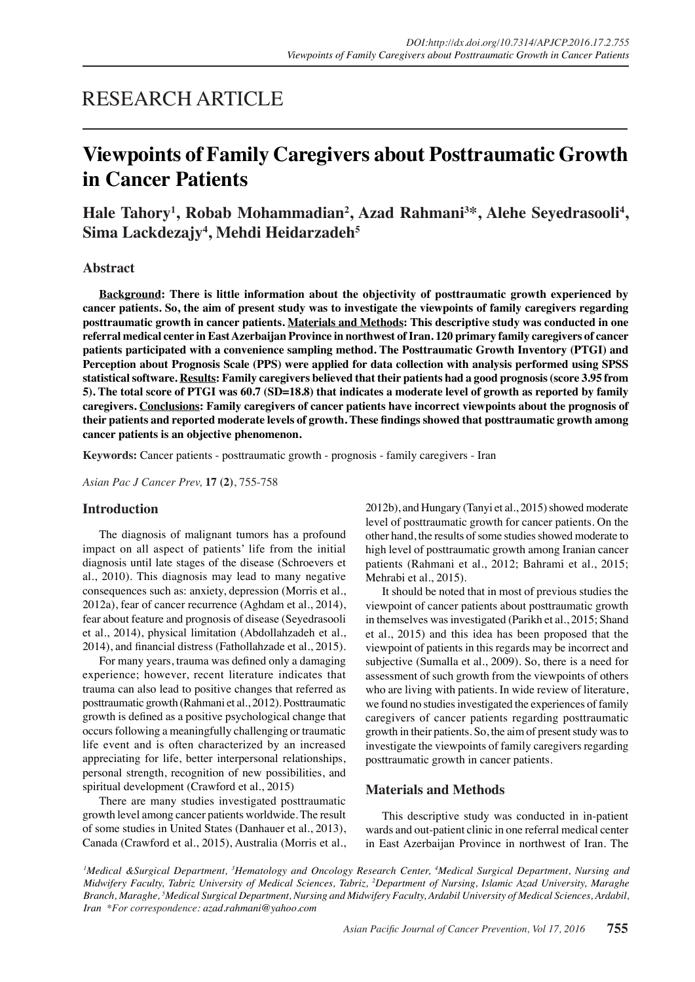## RESEARCH ARTICLE

# **Viewpoints of Family Caregivers about Posttraumatic Growth in Cancer Patients**

Hale Tahory<sup>1</sup>, Robab Mohammadian<sup>2</sup>, Azad Rahmani<sup>3\*</sup>, Alehe Seyedrasooli<sup>4</sup>, **Sima Lackdezajy4 , Mehdi Heidarzadeh5**

#### **Abstract**

**Background: There is little information about the objectivity of posttraumatic growth experienced by cancer patients. So, the aim of present study was to investigate the viewpoints of family caregivers regarding posttraumatic growth in cancer patients. Materials and Methods: This descriptive study was conducted in one referral medical center in East Azerbaijan Province in northwest of Iran. 120 primary family caregivers of cancer patients participated with a convenience sampling method. The Posttraumatic Growth Inventory (PTGI) and Perception about Prognosis Scale (PPS) were applied for data collection with analysis performed using SPSS statistical software. Results: Family caregivers believed that their patients had a good prognosis (score 3.95 from 5). The total score of PTGI was 60.7 (SD=18.8) that indicates a moderate level of growth as reported by family caregivers. Conclusions: Family caregivers of cancer patients have incorrect viewpoints about the prognosis of their patients and reported moderate levels of growth. These findings showed that posttraumatic growth among cancer patients is an objective phenomenon.**

**Keywords:** Cancer patients - posttraumatic growth - prognosis - family caregivers - Iran

*Asian Pac J Cancer Prev,* **17 (2)**, 755-758

### **Introduction**

The diagnosis of malignant tumors has a profound impact on all aspect of patients' life from the initial diagnosis until late stages of the disease (Schroevers et al., 2010). This diagnosis may lead to many negative consequences such as: anxiety, depression (Morris et al., 2012a), fear of cancer recurrence (Aghdam et al., 2014), fear about feature and prognosis of disease (Seyedrasooli et al., 2014), physical limitation (Abdollahzadeh et al., 2014), and financial distress (Fathollahzade et al., 2015).

For many years, trauma was defined only a damaging experience; however, recent literature indicates that trauma can also lead to positive changes that referred as posttraumatic growth (Rahmani et al., 2012). Posttraumatic growth is defined as a positive psychological change that occurs following a meaningfully challenging or traumatic life event and is often characterized by an increased appreciating for life, better interpersonal relationships, personal strength, recognition of new possibilities, and spiritual development (Crawford et al., 2015)

There are many studies investigated posttraumatic growth level among cancer patients worldwide. The result of some studies in United States (Danhauer et al., 2013), Canada (Crawford et al., 2015), Australia (Morris et al., 2012b), and Hungary (Tanyi et al., 2015) showed moderate level of posttraumatic growth for cancer patients. On the other hand, the results of some studies showed moderate to high level of posttraumatic growth among Iranian cancer patients (Rahmani et al., 2012; Bahrami et al., 2015; Mehrabi et al., 2015).

It should be noted that in most of previous studies the viewpoint of cancer patients about posttraumatic growth in themselves was investigated (Parikh et al., 2015; Shand et al., 2015) and this idea has been proposed that the viewpoint of patients in this regards may be incorrect and subjective (Sumalla et al., 2009). So, there is a need for assessment of such growth from the viewpoints of others who are living with patients. In wide review of literature, we found no studies investigated the experiences of family caregivers of cancer patients regarding posttraumatic growth in their patients. So, the aim of present study was to investigate the viewpoints of family caregivers regarding posttraumatic growth in cancer patients.

## **Materials and Methods**

This descriptive study was conducted in in-patient wards and out-patient clinic in one referral medical center in East Azerbaijan Province in northwest of Iran. The

<sup>1</sup>Medical &Surgical Department, <sup>3</sup>Hematology and Oncology Research Center, <sup>4</sup>Medical Surgical Department, Nursing and *Midwifery Faculty, Tabriz University of Medical Sciences, Tabriz, 2 Department of Nursing, Islamic Azad University, Maraghe Branch, Maraghe, 5 Medical Surgical Department, Nursing and Midwifery Faculty, Ardabil University of Medical Sciences, Ardabil, Iran \*For correspondence: azad.rahmani@yahoo.com*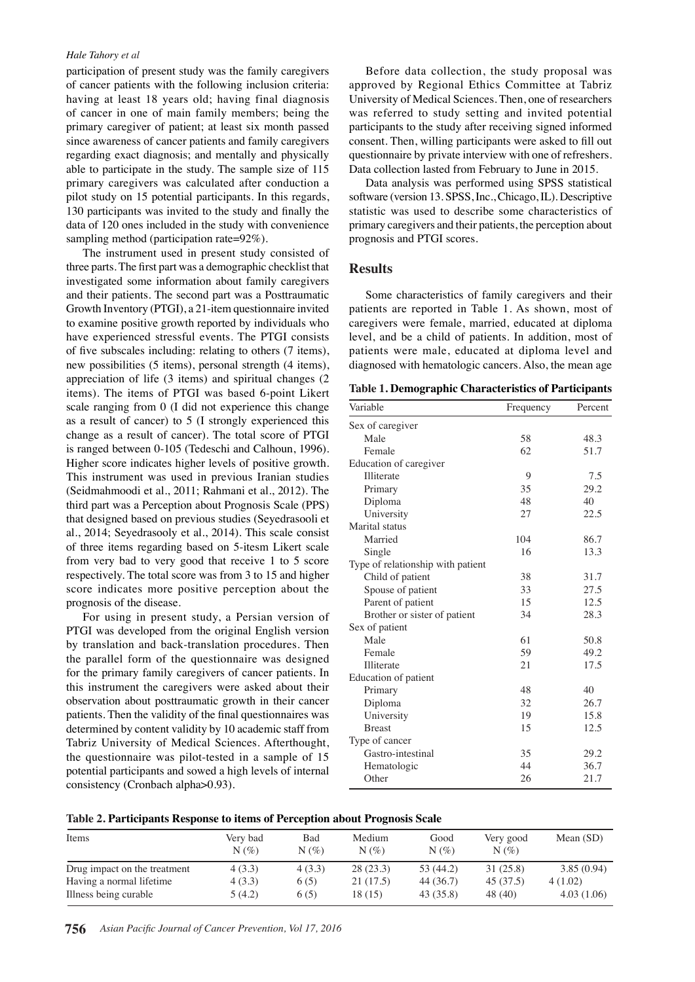#### *Hale Tahory et al*

participation of present study was the family caregivers of cancer patients with the following inclusion criteria: having at least 18 years old; having final diagnosis of cancer in one of main family members; being the primary caregiver of patient; at least six month passed since awareness of cancer patients and family caregivers regarding exact diagnosis; and mentally and physically able to participate in the study. The sample size of 115 primary caregivers was calculated after conduction a pilot study on 15 potential participants. In this regards, 130 participants was invited to the study and finally the data of 120 ones included in the study with convenience sampling method (participation rate=92%).

The instrument used in present study consisted of three parts. The first part was a demographic checklist that investigated some information about family caregivers and their patients. The second part was a Posttraumatic Growth Inventory (PTGI), a 21-item questionnaire invited to examine positive growth reported by individuals who have experienced stressful events. The PTGI consists of five subscales including: relating to others (7 items), new possibilities (5 items), personal strength (4 items), appreciation of life (3 items) and spiritual changes (2 items). The items of PTGI was based 6-point Likert scale ranging from 0 (I did not experience this change as a result of cancer) to 5 (I strongly experienced this change as a result of cancer). The total score of PTGI is ranged between 0-105 (Tedeschi and Calhoun, 1996). Higher score indicates higher levels of positive growth. This instrument was used in previous Iranian studies (Seidmahmoodi et al., 2011; Rahmani et al., 2012). The third part was a Perception about Prognosis Scale (PPS) that designed based on previous studies (Seyedrasooli et al., 2014; Seyedrasooly et al., 2014). This scale consist of three items regarding based on 5-itesm Likert scale from very bad to very good that receive 1 to 5 score respectively. The total score was from 3 to 15 and higher score indicates more positive perception about the prognosis of the disease.

For using in present study, a Persian version of PTGI was developed from the original English version by translation and back-translation procedures. Then the parallel form of the questionnaire was designed for the primary family caregivers of cancer patients. In this instrument the caregivers were asked about their observation about posttraumatic growth in their cancer patients. Then the validity of the final questionnaires was determined by content validity by 10 academic staff from Tabriz University of Medical Sciences. Afterthought, the questionnaire was pilot-tested in a sample of 15 potential participants and sowed a high levels of internal consistency (Cronbach alpha>0.93).

Before data collection, the study proposal was approved by Regional Ethics Committee at Tabriz University of Medical Sciences. Then, one of researchers was referred to study setting and invited potential participants to the study after receiving signed informed consent. Then, willing participants were asked to fill out questionnaire by private interview with one of refreshers. Data collection lasted from February to June in 2015.

Data analysis was performed using SPSS statistical software (version 13. SPSS, Inc., Chicago, IL). Descriptive statistic was used to describe some characteristics of primary caregivers and their patients, the perception about prognosis and PTGI scores.

### **Results**

Some characteristics of family caregivers and their patients are reported in Table 1. As shown, most of caregivers were female, married, educated at diploma level, and be a child of patients. In addition, most of patients were male, educated at diploma level and diagnosed with hematologic cancers. Also, the mean age

**Table 1. Demographic Characteristics of Participants**

| Variable                          | Frequency | Percent |
|-----------------------------------|-----------|---------|
| Sex of caregiver                  |           |         |
| Male                              | 58        | 48.3    |
| Female                            | 62        | 51.7    |
| Education of caregiver            |           |         |
| Illiterate                        | 9         | 7.5     |
| Primary                           | 35        | 29.2    |
| Diploma                           | 48        | 40      |
| University                        | 27        | 22.5    |
| Marital status                    |           |         |
| Married                           | 104       | 86.7    |
| Single                            | 16        | 13.3    |
| Type of relationship with patient |           |         |
| Child of patient                  | 38        | 31.7    |
| Spouse of patient                 | 33        | 27.5    |
| Parent of patient                 | 15        | 12.5    |
| Brother or sister of patient      | 34        | 28.3    |
| Sex of patient                    |           |         |
| Male                              | 61        | 50.8    |
| Female                            | 59        | 49.2    |
| Illiterate                        | 21        | 17.5    |
| Education of patient              |           |         |
| Primary                           | 48        | 40      |
| Diploma                           | 32        | 26.7    |
| University                        | 19        | 15.8    |
| <b>Breast</b>                     | 15        | 12.5    |
| Type of cancer                    |           |         |
| Gastro-intestinal                 | 35        | 29.2    |
| Hematologic                       | 44        | 36.7    |
| Other                             | 26        | 21.7    |

| Table 2. Participants Response to items of Perception about Prognosis Scale |  |  |  |  |  |  |  |
|-----------------------------------------------------------------------------|--|--|--|--|--|--|--|
|-----------------------------------------------------------------------------|--|--|--|--|--|--|--|

| Items                        | Verv bad<br>$N(\%)$ | Bad<br>$N(\%)$ | Medium<br>$N(\%)$ | Good<br>$N(\%)$ | Very good<br>$N(\%)$ | Mean $(SD)$ |
|------------------------------|---------------------|----------------|-------------------|-----------------|----------------------|-------------|
| Drug impact on the treatment | 4(3.3)              | 4(3.3)         | 28(23.3)          | 53 (44.2)       | 31(25.8)             | 3.85(0.94)  |
| Having a normal lifetime     | 4(3.3)              | 6(5)           | 21(17.5)          | 44 (36.7)       | 45 (37.5)            | 4(1.02)     |
| Illness being curable        | 5(4.2)              | 6(5)           | 18 (15)           | 43(35.8)        | 48 (40)              | 4.03(1.06)  |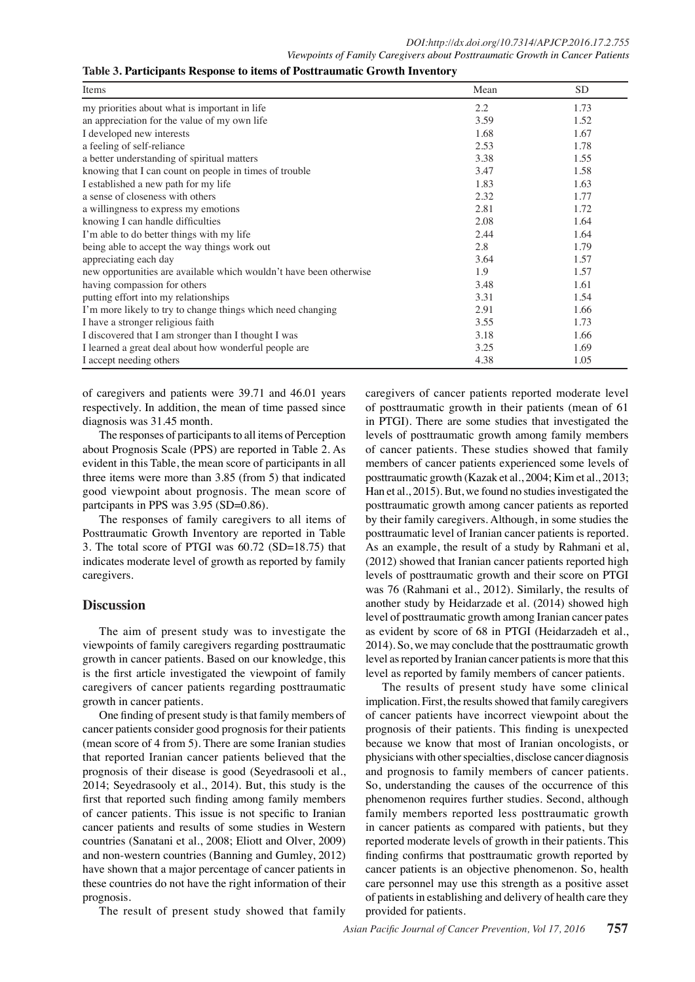| Items                                                              | Mean | <b>SD</b> |
|--------------------------------------------------------------------|------|-----------|
| my priorities about what is important in life                      | 2.2  | 1.73      |
| an appreciation for the value of my own life                       | 3.59 | 1.52      |
| I developed new interests                                          | 1.68 | 1.67      |
| a feeling of self-reliance                                         | 2.53 | 1.78      |
| a better understanding of spiritual matters                        | 3.38 | 1.55      |
| knowing that I can count on people in times of trouble             | 3.47 | 1.58      |
| I established a new path for my life                               | 1.83 | 1.63      |
| a sense of closeness with others                                   | 2.32 | 1.77      |
| a willingness to express my emotions                               | 2.81 | 1.72      |
| knowing I can handle difficulties                                  | 2.08 | 1.64      |
| I'm able to do better things with my life                          | 2.44 | 1.64      |
| being able to accept the way things work out                       | 2.8  | 1.79      |
| appreciating each day                                              | 3.64 | 1.57      |
| new opportunities are available which wouldn't have been otherwise | 1.9  | 1.57      |
| having compassion for others                                       | 3.48 | 1.61      |
| putting effort into my relationships                               | 3.31 | 1.54      |
| I'm more likely to try to change things which need changing        | 2.91 | 1.66      |
| I have a stronger religious faith                                  | 3.55 | 1.73      |
| I discovered that I am stronger than I thought I was               | 3.18 | 1.66      |
| I learned a great deal about how wonderful people are              | 3.25 | 1.69      |
| I accept needing others                                            | 4.38 | 1.05      |

of caregivers and patients were 39.71 and 46.01 years respectively. In addition, the mean of time passed since diagnosis was 31.45 month.

The responses of participants to all items of Perception about Prognosis Scale (PPS) are reported in Table 2. As evident in this Table, the mean score of participants in all three items were more than 3.85 (from 5) that indicated good viewpoint about prognosis. The mean score of partcipants in PPS was 3.95 (SD=0.86).

The responses of family caregivers to all items of Posttraumatic Growth Inventory are reported in Table 3. The total score of PTGI was 60.72 (SD=18.75) that indicates moderate level of growth as reported by family caregivers.

## **Discussion**

The aim of present study was to investigate the viewpoints of family caregivers regarding posttraumatic growth in cancer patients. Based on our knowledge, this is the first article investigated the viewpoint of family caregivers of cancer patients regarding posttraumatic growth in cancer patients.

One finding of present study is that family members of cancer patients consider good prognosis for their patients (mean score of 4 from 5). There are some Iranian studies that reported Iranian cancer patients believed that the prognosis of their disease is good (Seyedrasooli et al., 2014; Seyedrasooly et al., 2014). But, this study is the first that reported such finding among family members of cancer patients. This issue is not specific to Iranian cancer patients and results of some studies in Western countries (Sanatani et al., 2008; Eliott and Olver, 2009) and non-western countries (Banning and Gumley, 2012) have shown that a major percentage of cancer patients in these countries do not have the right information of their prognosis.

The result of present study showed that family

caregivers of cancer patients reported moderate level of posttraumatic growth in their patients (mean of 61 in PTGI). There are some studies that investigated the levels of posttraumatic growth among family members of cancer patients. These studies showed that family members of cancer patients experienced some levels of posttraumatic growth (Kazak et al., 2004; Kim et al., 2013; Han et al., 2015). But, we found no studies investigated the posttraumatic growth among cancer patients as reported by their family caregivers. Although, in some studies the posttraumatic level of Iranian cancer patients is reported. As an example, the result of a study by Rahmani et al, (2012) showed that Iranian cancer patients reported high levels of posttraumatic growth and their score on PTGI was 76 (Rahmani et al., 2012). Similarly, the results of another study by Heidarzade et al. (2014) showed high level of posttraumatic growth among Iranian cancer pates as evident by score of 68 in PTGI (Heidarzadeh et al., 2014). So, we may conclude that the posttraumatic growth level as reported by Iranian cancer patients is more that this level as reported by family members of cancer patients.

The results of present study have some clinical implication. First, the results showed that family caregivers of cancer patients have incorrect viewpoint about the prognosis of their patients. This finding is unexpected because we know that most of Iranian oncologists, or physicians with other specialties, disclose cancer diagnosis and prognosis to family members of cancer patients. So, understanding the causes of the occurrence of this phenomenon requires further studies. Second, although family members reported less posttraumatic growth in cancer patients as compared with patients, but they reported moderate levels of growth in their patients. This finding confirms that posttraumatic growth reported by cancer patients is an objective phenomenon. So, health care personnel may use this strength as a positive asset of patients in establishing and delivery of health care they provided for patients.